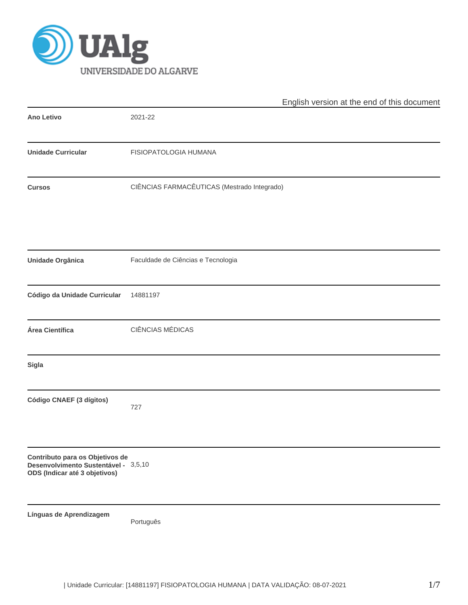

|                                                                                                          | English version at the end of this document |  |  |  |  |  |  |
|----------------------------------------------------------------------------------------------------------|---------------------------------------------|--|--|--|--|--|--|
| <b>Ano Letivo</b>                                                                                        | 2021-22                                     |  |  |  |  |  |  |
| <b>Unidade Curricular</b>                                                                                | FISIOPATOLOGIA HUMANA                       |  |  |  |  |  |  |
| <b>Cursos</b>                                                                                            | CIÊNCIAS FARMACÊUTICAS (Mestrado Integrado) |  |  |  |  |  |  |
| <b>Unidade Orgânica</b>                                                                                  | Faculdade de Ciências e Tecnologia          |  |  |  |  |  |  |
| Código da Unidade Curricular                                                                             | 14881197                                    |  |  |  |  |  |  |
| Área Científica                                                                                          | <b>CIÊNCIAS MÉDICAS</b>                     |  |  |  |  |  |  |
| Sigla                                                                                                    |                                             |  |  |  |  |  |  |
| Código CNAEF (3 dígitos)                                                                                 | 727                                         |  |  |  |  |  |  |
| Contributo para os Objetivos de<br>Desenvolvimento Sustentável - 3,5,10<br>ODS (Indicar até 3 objetivos) |                                             |  |  |  |  |  |  |
| Línguas de Aprendizagem                                                                                  | Português                                   |  |  |  |  |  |  |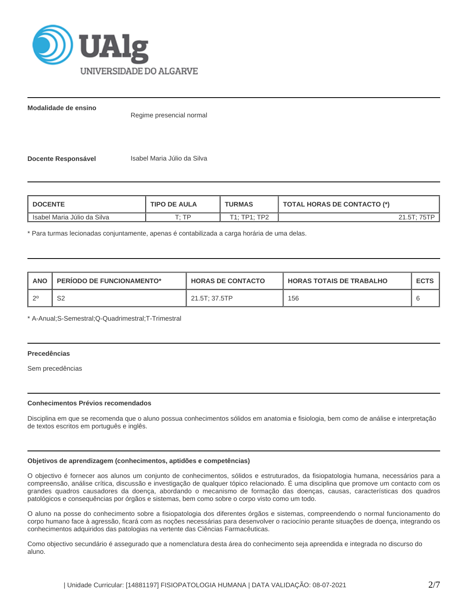

**Modalidade de ensino**

Regime presencial normal

**Docente Responsável | Isabel Maria Júlio da Silva** 

| <b>TIPO DE AULA</b><br><b>DOCENTE</b> |       | TURMAS            | <b>TOTAL HORAS DE CONTACTO (*)</b> |  |  |
|---------------------------------------|-------|-------------------|------------------------------------|--|--|
| Isabel Maria Júlio da Silva           | г. то | TPT<br>T1 . TD1 . | 21.5T:                             |  |  |

\* Para turmas lecionadas conjuntamente, apenas é contabilizada a carga horária de uma delas.

| <b>ANO</b> | <b>PERIODO DE FUNCIONAMENTO*</b> | <b>HORAS DE CONTACTO</b> | <b>HORAS TOTAIS DE TRABALHO</b> | <b>ECTS</b> |
|------------|----------------------------------|--------------------------|---------------------------------|-------------|
| ാ0         | ົ<br>ےت                          | 21.5T; 37.5TP            | 156                             |             |

\* A-Anual;S-Semestral;Q-Quadrimestral;T-Trimestral

## **Precedências**

Sem precedências

## **Conhecimentos Prévios recomendados**

Disciplina em que se recomenda que o aluno possua conhecimentos sólidos em anatomia e fisiologia, bem como de análise e interpretação de textos escritos em português e inglês.

## **Objetivos de aprendizagem (conhecimentos, aptidões e competências)**

O objectivo é fornecer aos alunos um conjunto de conhecimentos, sólidos e estruturados, da fisiopatologia humana, necessários para a compreensão, análise crítica, discussão e investigação de qualquer tópico relacionado. É uma disciplina que promove um contacto com os grandes quadros causadores da doença, abordando o mecanismo de formação das doenças, causas, características dos quadros patológicos e consequências por órgãos e sistemas, bem como sobre o corpo visto como um todo.

O aluno na posse do conhecimento sobre a fisiopatologia dos diferentes órgãos e sistemas, compreendendo o normal funcionamento do corpo humano face à agressão, ficará com as noções necessárias para desenvolver o raciocínio perante situações de doença, integrando os conhecimentos adquiridos das patologias na vertente das Ciências Farmacêuticas.

Como objectivo secundário é assegurado que a nomenclatura desta área do conhecimento seja apreendida e integrada no discurso do aluno.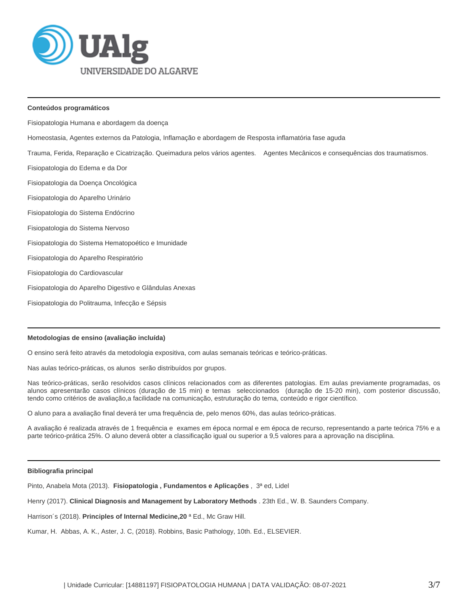

### **Conteúdos programáticos**

| Fisiopatologia Humana e abordagem da doença                                                                                    |  |
|--------------------------------------------------------------------------------------------------------------------------------|--|
| Homeostasia, Agentes externos da Patologia, Inflamação e abordagem de Resposta inflamatória fase aguda                         |  |
| Trauma, Ferida, Reparação e Cicatrização. Queimadura pelos vários agentes. Agentes Mecânicos e consequências dos traumatismos. |  |
| Fisiopatologia do Edema e da Dor                                                                                               |  |
| Fisiopatologia da Doença Oncológica                                                                                            |  |
| Fisiopatologia do Aparelho Urinário                                                                                            |  |
| Fisiopatologia do Sistema Endócrino                                                                                            |  |
| Fisiopatologia do Sistema Nervoso                                                                                              |  |
| Fisiopatologia do Sistema Hematopoético e Imunidade                                                                            |  |
| Fisiopatologia do Aparelho Respiratório                                                                                        |  |
| Fisiopatologia do Cardiovascular                                                                                               |  |
| Fisiopatologia do Aparelho Digestivo e Glândulas Anexas                                                                        |  |
| Fisiopatologia do Politrauma, Infecção e Sépsis                                                                                |  |
|                                                                                                                                |  |

## **Metodologias de ensino (avaliação incluída)**

O ensino será feito através da metodologia expositiva, com aulas semanais teóricas e teórico-práticas.

Nas aulas teórico-práticas, os alunos serão distribuídos por grupos.

Nas teórico-práticas, serão resolvidos casos clínicos relacionados com as diferentes patologias. Em aulas previamente programadas, os alunos apresentarão casos clínicos (duração de 15 min) e temas seleccionados (duração de 15-20 min), com posterior discussão, tendo como critérios de avaliação,a facilidade na comunicação, estruturação do tema, conteúdo e rigor científico.

O aluno para a avaliação final deverá ter uma frequência de, pelo menos 60%, das aulas teórico-práticas.

A avaliação é realizada através de 1 frequência e exames em época normal e em época de recurso, representando a parte teórica 75% e a parte teórico-prática 25%. O aluno deverá obter a classificação igual ou superior a 9,5 valores para a aprovação na disciplina.

# **Bibliografia principal**

Pinto, Anabela Mota (2013). **Fisiopatologia , Fundamentos e Aplicações** , 3ª ed, Lidel

Henry (2017). **Clinical Diagnosis and Management by Laboratory Methods** . 23th Ed., W. B. Saunders Company.

Harrison´s (2018). **Principles of Internal Medicine,20** ª Ed., Mc Graw Hill.

Kumar, H. Abbas, A. K., Aster, J. C, (2018). Robbins, Basic Pathology, 10th. Ed., ELSEVIER.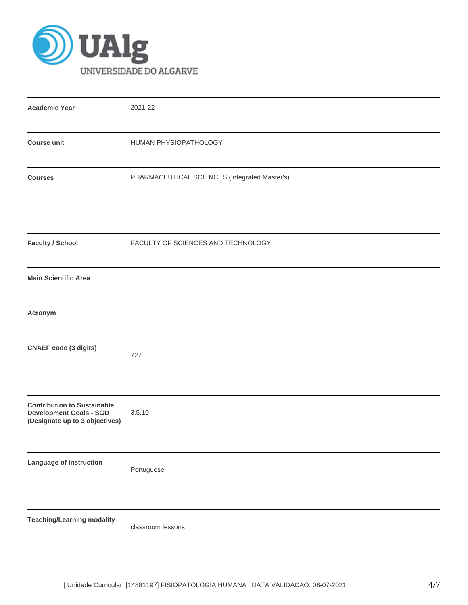

| <b>Academic Year</b>                                                                                   | 2021-22                                       |
|--------------------------------------------------------------------------------------------------------|-----------------------------------------------|
| <b>Course unit</b>                                                                                     | HUMAN PHYSIOPATHOLOGY                         |
| <b>Courses</b>                                                                                         | PHARMACEUTICAL SCIENCES (Integrated Master's) |
| <b>Faculty / School</b>                                                                                | FACULTY OF SCIENCES AND TECHNOLOGY            |
| <b>Main Scientific Area</b>                                                                            |                                               |
| Acronym                                                                                                |                                               |
| <b>CNAEF</b> code (3 digits)                                                                           | 727                                           |
| <b>Contribution to Sustainable</b><br><b>Development Goals - SGD</b><br>(Designate up to 3 objectives) | 3,5,10                                        |
| Language of instruction                                                                                | Portuguese                                    |
| <b>Teaching/Learning modality</b>                                                                      | classroom lessons                             |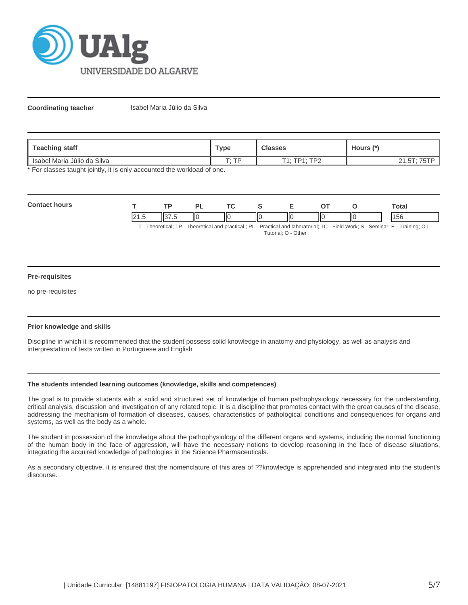

**Coordinating teacher** Isabel Maria Júlio da Silva

| Teaching staff              | <b>Type</b> | <b>Classes</b> | Hours (*)          |
|-----------------------------|-------------|----------------|--------------------|
| Isabel Maria Júlio da Silva | т.<br>тp    | T1: TP1: TP2   | 215T<br>$\sim$ 1.0 |

\* For classes taught jointly, it is only accounted the workload of one.

| Con |                | TD. |    | <b>Trea</b> |    |    | <b>otal</b> |
|-----|----------------|-----|----|-------------|----|----|-------------|
|     | - 31<br>$\sim$ |     | ШC | ΙЮ          | ШC | IЮ | эc          |

T - Theoretical; TP - Theoretical and practical ; PL - Practical and laboratorial; TC - Field Work; S - Seminar; E - Training; OT - Tutorial; O - Other

### **Pre-requisites**

no pre-requisites

## **Prior knowledge and skills**

Discipline in which it is recommended that the student possess solid knowledge in anatomy and physiology, as well as analysis and interprestation of texts written in Portuguese and English

## **The students intended learning outcomes (knowledge, skills and competences)**

The goal is to provide students with a solid and structured set of knowledge of human pathophysiology necessary for the understanding, critical analysis, discussion and investigation of any related topic. It is a discipline that promotes contact with the great causes of the disease, addressing the mechanism of formation of diseases, causes, characteristics of pathological conditions and consequences for organs and systems, as well as the body as a whole.

The student in possession of the knowledge about the pathophysiology of the different organs and systems, including the normal functioning of the human body in the face of aggression, will have the necessary notions to develop reasoning in the face of disease situations, integrating the acquired knowledge of pathologies in the Science Pharmaceuticals.

As a secondary objective, it is ensured that the nomenclature of this area of ??knowledge is apprehended and integrated into the student's discourse.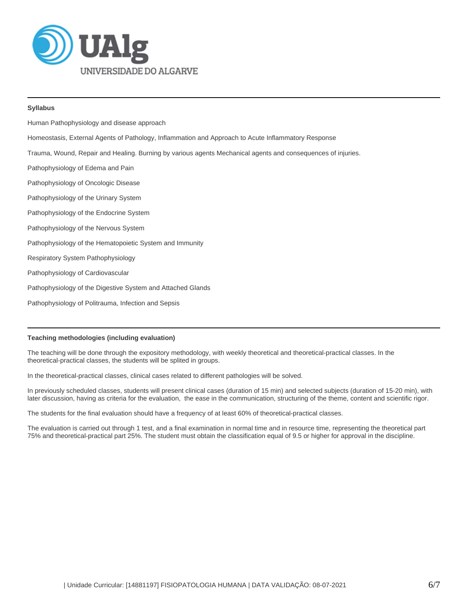

# **Syllabus**

Human Pathophysiology and disease approach Homeostasis, External Agents of Pathology, Inflammation and Approach to Acute Inflammatory Response Trauma, Wound, Repair and Healing. Burning by various agents Mechanical agents and consequences of injuries. Pathophysiology of Edema and Pain Pathophysiology of Oncologic Disease Pathophysiology of the Urinary System Pathophysiology of the Endocrine System Pathophysiology of the Nervous System Pathophysiology of the Hematopoietic System and Immunity Respiratory System Pathophysiology Pathophysiology of Cardiovascular Pathophysiology of the Digestive System and Attached Glands Pathophysiology of Politrauma, Infection and Sepsis

## **Teaching methodologies (including evaluation)**

The teaching will be done through the expository methodology, with weekly theoretical and theoretical-practical classes. In the theoretical-practical classes, the students will be splited in groups.

In the theoretical-practical classes, clinical cases related to different pathologies will be solved.

In previously scheduled classes, students will present clinical cases (duration of 15 min) and selected subjects (duration of 15-20 min), with later discussion, having as criteria for the evaluation, the ease in the communication, structuring of the theme, content and scientific rigor.

The students for the final evaluation should have a frequency of at least 60% of theoretical-practical classes.

The evaluation is carried out through 1 test, and a final examination in normal time and in resource time, representing the theoretical part 75% and theoretical-practical part 25%. The student must obtain the classification equal of 9.5 or higher for approval in the discipline.